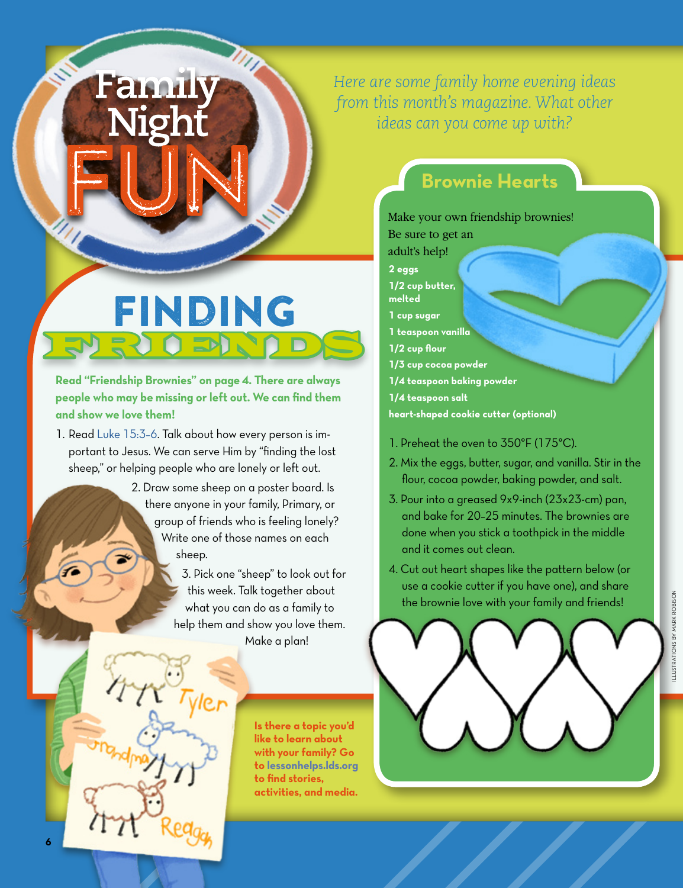*Here are some family home evening ideas from this month's magazine. What other ideas can you come up with?*

## **Brownie Hearts**

## Make your own friendship brownies!

- Be sure to get an
- adult's help! **2 eggs**
- **1/2 cup butter,**
- **melted**
- **1 cup sugar**
- **1 teaspoon vanilla**
- **1/2 cup flour**
- **1/3 cup cocoa powder**
- **1/4 teaspoon baking powder**
- **1/4 teaspoon salt**

**heart-shaped cookie cutter (optional)**

- 1. Preheat the oven to 350°F (175°C).
- 2. Mix the eggs, butter, sugar, and vanilla. Stir in the flour, cocoa powder, baking powder, and salt.
- 3. Pour into a greased 9x9-inch (23x23-cm) pan, and bake for 20–25 minutes. The brownies are done when you stick a toothpick in the middle and it comes out clean.
- 4. Cut out heart shapes like the pattern below (or use a cookie cutter if you have one), and share the brownie love with your family and friends!



Finding FRIENDS

Family

Nigh

**Read "Friendship Brownies" on page 4. There are always people who may be missing or left out. We can find them and show we love them!**

- 1. Read [Luke 15:3–6](https://www.lds.org/scriptures/nt/luke/15.3,4,5,6?lang=eng#2). Talk about how every person is important to Jesus. We can serve Him by "finding the lost sheep," or helping people who are lonely or left out.
	- 2. Draw some sheep on a poster board. Is there anyone in your family, Primary, or group of friends who is feeling lonely? Write one of those names on each sheep.

3. Pick one "sheep" to look out for this week. Talk together about what you can do as a family to help them and show you love them. Make a plan!

> **Is there a topic you'd like to learn about with your family? Go to [lessonhelps.lds.org](http://lessonhelps.lds.org) to find stories, activities, and media.**

**6**